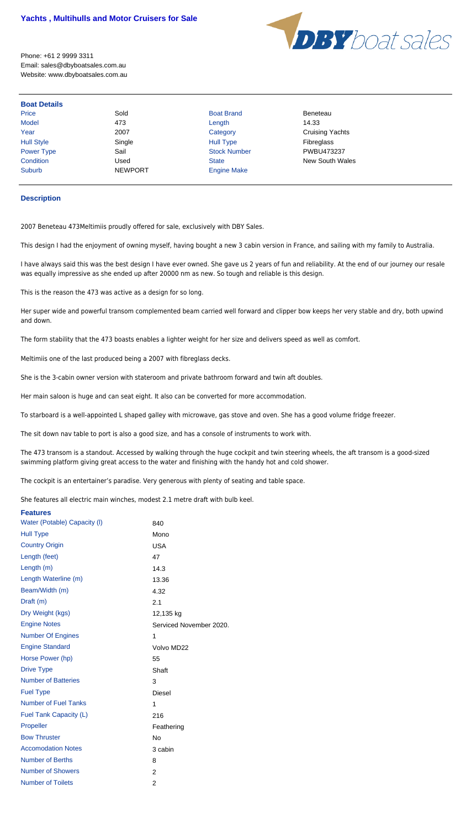

Phone: +61 2 9999 3311 Email: sales@dbyboatsales.com.au Website: www.dbyboatsales.com.au

| <b>Boat Details</b> |                |                     |                        |
|---------------------|----------------|---------------------|------------------------|
| <b>Price</b>        | Sold           | <b>Boat Brand</b>   | <b>Beneteau</b>        |
| Model               | 473            | Length              | 14.33                  |
| Year                | 2007           | Category            | <b>Cruising Yachts</b> |
| <b>Hull Style</b>   | Single         | <b>Hull Type</b>    | Fibreglass             |
| <b>Power Type</b>   | Sail           | <b>Stock Number</b> | PWBU473237             |
| Condition           | Used           | <b>State</b>        | <b>New South Wales</b> |
| Suburb              | <b>NEWPORT</b> | <b>Engine Make</b>  |                        |

## **Description**

2007 Beneteau 473Meltimiis proudly offered for sale, exclusively with DBY Sales.

This design I had the enjoyment of owning myself, having bought a new 3 cabin version in France, and sailing with my family to Australia.

I have always said this was the best design I have ever owned. She gave us 2 years of fun and reliability. At the end of our journey our resale was equally impressive as she ended up after 20000 nm as new. So tough and reliable is this design.

This is the reason the 473 was active as a design for so long.

Her super wide and powerful transom complemented beam carried well forward and clipper bow keeps her very stable and dry, both upwind and down.

The form stability that the 473 boasts enables a lighter weight for her size and delivers speed as well as comfort.

Meltimiis one of the last produced being a 2007 with fibreglass decks.

She is the 3-cabin owner version with stateroom and private bathroom forward and twin aft doubles.

Her main saloon is huge and can seat eight. It also can be converted for more accommodation.

To starboard is a well-appointed L shaped galley with microwave, gas stove and oven. She has a good volume fridge freezer.

The sit down nav table to port is also a good size, and has a console of instruments to work with.

The 473 transom is a standout. Accessed by walking through the huge cockpit and twin steering wheels, the aft transom is a good-sized swimming platform giving great access to the water and finishing with the handy hot and cold shower.

The cockpit is an entertainer's paradise. Very generous with plenty of seating and table space.

She features all electric main winches, modest 2.1 metre draft with bulb keel.

| <b>Features</b>              |                         |
|------------------------------|-------------------------|
| Water (Potable) Capacity (I) | 840                     |
| <b>Hull Type</b>             | Mono                    |
| <b>Country Origin</b>        | <b>USA</b>              |
| Length (feet)                | 47                      |
| Length (m)                   | 14.3                    |
| Length Waterline (m)         | 13.36                   |
| Beam/Width (m)               | 4.32                    |
| Draft (m)                    | 2.1                     |
| Dry Weight (kgs)             | 12,135 kg               |
| <b>Engine Notes</b>          | Serviced November 2020. |
| <b>Number Of Engines</b>     | 1                       |
| <b>Engine Standard</b>       | Volvo MD22              |
| Horse Power (hp)             | 55                      |
| <b>Drive Type</b>            | Shaft                   |
| <b>Number of Batteries</b>   | 3                       |
| <b>Fuel Type</b>             | <b>Diesel</b>           |
| <b>Number of Fuel Tanks</b>  | 1                       |
| Fuel Tank Capacity (L)       | 216                     |
| Propeller                    | Feathering              |
| <b>Bow Thruster</b>          | <b>No</b>               |
| <b>Accomodation Notes</b>    | 3 cabin                 |
| <b>Number of Berths</b>      | 8                       |
| <b>Number of Showers</b>     | 2                       |
| <b>Number of Toilets</b>     | 2                       |